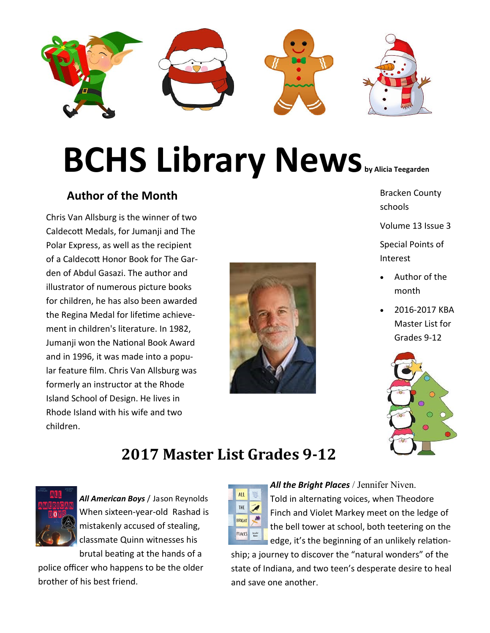

# **BCHS Library News** by Alicia Teegarden

### **Author of the Month**

Chris Van Allsburg is the winner of two Caldecott Medals, for Jumanji and The Polar Express, as well as the recipient of a Caldecott Honor Book for The Garden of Abdul Gasazi. The author and illustrator of numerous picture books for children, he has also been awarded the Regina Medal for lifetime achievement in children's literature. In 1982, Jumanji won the National Book Award and in 1996, it was made into a popular feature film. Chris Van Allsburg was formerly an instructor at the Rhode Island School of Design. He lives in Rhode Island with his wife and two children.



Bracken County schools

Volume 13 Issue 3

Special Points of Interest

- Author of the month
- 2016-2017 KBA Master List for Grades 9-12



# **2017 Master List Grades 9-12**



*All American Boys* / Jason Reynolds When sixteen-year-old Rashad is mistakenly accused of stealing, classmate Quinn witnesses his brutal beating at the hands of a

police officer who happens to be the older brother of his best friend.



*All the Bright Places* / Jennifer Niven. Told in alternating voices, when Theodore Finch and Violet Markey meet on the ledge of the bell tower at school, both teetering on the edge, it's the beginning of an unlikely relation-

ship; a journey to discover the "natural wonders" of the state of Indiana, and two teen's desperate desire to heal and save one another.